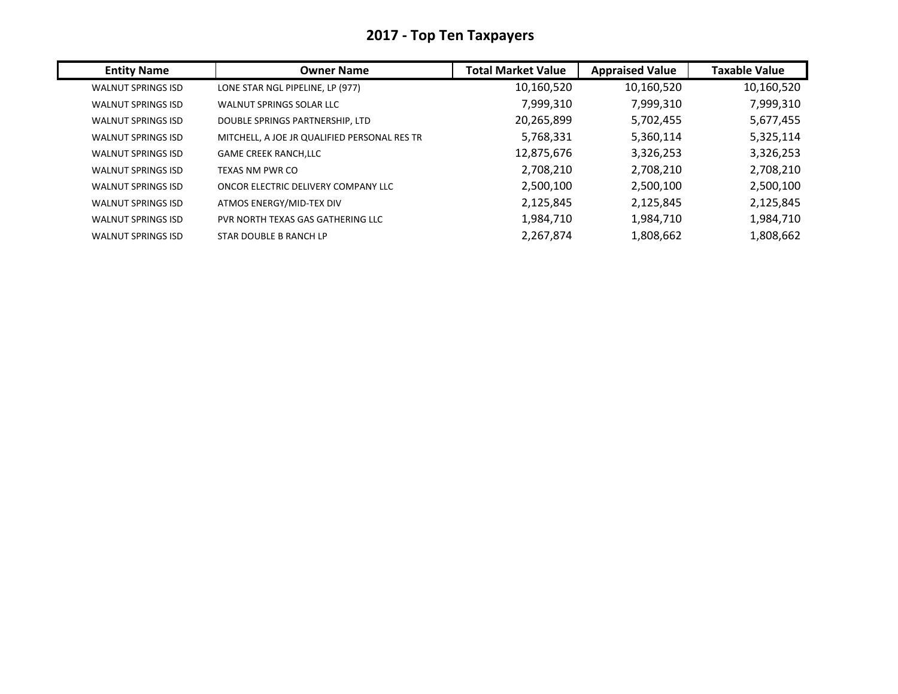| <b>Entity Name</b>        | <b>Owner Name</b>                            | <b>Total Market Value</b> | <b>Appraised Value</b> | <b>Taxable Value</b> |
|---------------------------|----------------------------------------------|---------------------------|------------------------|----------------------|
| <b>WALNUT SPRINGS ISD</b> | LONE STAR NGL PIPELINE, LP (977)             | 10,160,520                | 10,160,520             | 10,160,520           |
| <b>WALNUT SPRINGS ISD</b> | WALNUT SPRINGS SOLAR LLC                     | 7,999,310                 | 7,999,310              | 7,999,310            |
| <b>WALNUT SPRINGS ISD</b> | DOUBLE SPRINGS PARTNERSHIP, LTD              | 20,265,899                | 5,702,455              | 5,677,455            |
| <b>WALNUT SPRINGS ISD</b> | MITCHELL, A JOE JR QUALIFIED PERSONAL RES TR | 5,768,331                 | 5,360,114              | 5,325,114            |
| <b>WALNUT SPRINGS ISD</b> | <b>GAME CREEK RANCH, LLC</b>                 | 12,875,676                | 3,326,253              | 3,326,253            |
| <b>WALNUT SPRINGS ISD</b> | TEXAS NM PWR CO                              | 2,708,210                 | 2,708,210              | 2,708,210            |
| <b>WALNUT SPRINGS ISD</b> | ONCOR ELECTRIC DELIVERY COMPANY LLC          | 2,500,100                 | 2,500,100              | 2,500,100            |
| <b>WALNUT SPRINGS ISD</b> | ATMOS ENERGY/MID-TEX DIV                     | 2,125,845                 | 2,125,845              | 2,125,845            |
| <b>WALNUT SPRINGS ISD</b> | PVR NORTH TEXAS GAS GATHERING LLC            | 1,984,710                 | 1,984,710              | 1,984,710            |
| <b>WALNUT SPRINGS ISD</b> | STAR DOUBLE B RANCH LP                       | 2,267,874                 | 1,808,662              | 1,808,662            |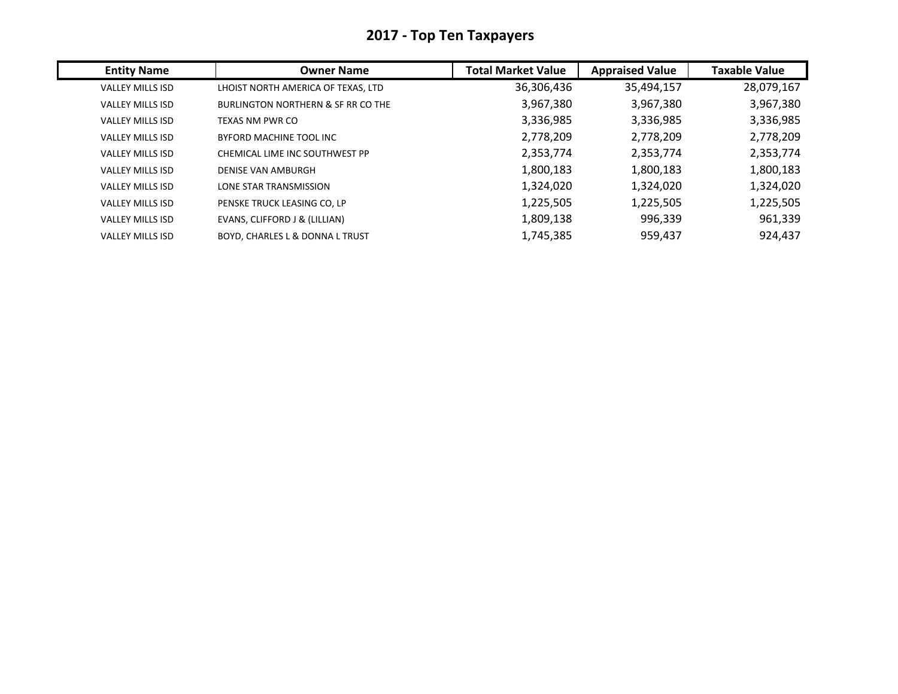| <b>Entity Name</b>      | <b>Owner Name</b>                          | <b>Total Market Value</b> | <b>Appraised Value</b> | <b>Taxable Value</b> |
|-------------------------|--------------------------------------------|---------------------------|------------------------|----------------------|
| VALLEY MILLS ISD        | LHOIST NORTH AMERICA OF TEXAS, LTD         | 36,306,436                | 35,494,157             | 28,079,167           |
| <b>VALLEY MILLS ISD</b> | BURLINGTON NORTHERN & SF RR CO THE         | 3,967,380                 | 3,967,380              | 3,967,380            |
| <b>VALLEY MILLS ISD</b> | TEXAS NM PWR CO                            | 3,336,985                 | 3,336,985              | 3,336,985            |
| <b>VALLEY MILLS ISD</b> | BYFORD MACHINE TOOL INC                    | 2,778,209                 | 2,778,209              | 2,778,209            |
| <b>VALLEY MILLS ISD</b> | CHEMICAL LIME INC SOUTHWEST PP             | 2,353,774                 | 2,353,774              | 2,353,774            |
| <b>VALLEY MILLS ISD</b> | <b>DENISE VAN AMBURGH</b>                  | 1,800,183                 | 1,800,183              | 1,800,183            |
| <b>VALLEY MILLS ISD</b> | LONE STAR TRANSMISSION                     | 1,324,020                 | 1,324,020              | 1,324,020            |
| <b>VALLEY MILLS ISD</b> | PENSKE TRUCK LEASING CO, LP                | 1,225,505                 | 1,225,505              | 1,225,505            |
| VALLEY MILLS ISD        | EVANS, CLIFFORD J & (LILLIAN)              | 1,809,138                 | 996,339                | 961,339              |
| <b>VALLEY MILLS ISD</b> | <b>BOYD. CHARLES L &amp; DONNA L TRUST</b> | 1,745,385                 | 959,437                | 924,437              |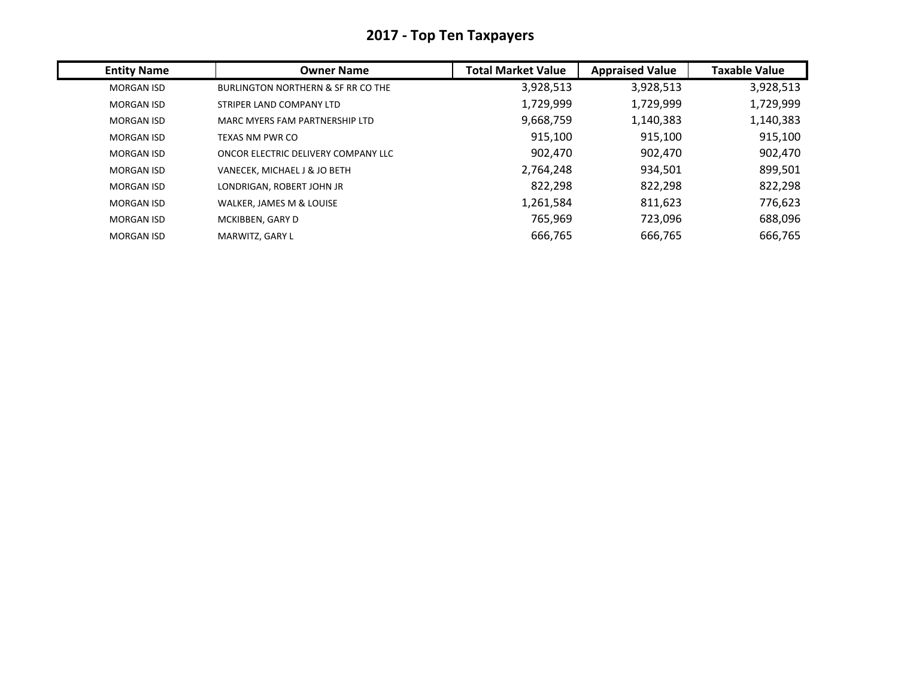| <b>Entity Name</b> | <b>Owner Name</b>                   | <b>Total Market Value</b> | <b>Appraised Value</b> | <b>Taxable Value</b> |
|--------------------|-------------------------------------|---------------------------|------------------------|----------------------|
| <b>MORGAN ISD</b>  | BURLINGTON NORTHERN & SF RR CO THE  | 3,928,513                 | 3,928,513              | 3,928,513            |
| <b>MORGAN ISD</b>  | STRIPER LAND COMPANY LTD            | 1,729,999                 | 1,729,999              | 1,729,999            |
| <b>MORGAN ISD</b>  | MARC MYERS FAM PARTNERSHIP LTD      | 9,668,759                 | 1,140,383              | 1,140,383            |
| <b>MORGAN ISD</b>  | <b>TEXAS NM PWR CO</b>              | 915,100                   | 915,100                | 915,100              |
| <b>MORGAN ISD</b>  | ONCOR ELECTRIC DELIVERY COMPANY LLC | 902,470                   | 902,470                | 902,470              |
| <b>MORGAN ISD</b>  | VANECEK, MICHAEL J & JO BETH        | 2,764,248                 | 934,501                | 899,501              |
| <b>MORGAN ISD</b>  | LONDRIGAN, ROBERT JOHN JR           | 822,298                   | 822,298                | 822,298              |
| <b>MORGAN ISD</b>  | WALKER, JAMES M & LOUISE            | 1,261,584                 | 811,623                | 776,623              |
| <b>MORGAN ISD</b>  | MCKIBBEN, GARY D                    | 765,969                   | 723,096                | 688,096              |
| <b>MORGAN ISD</b>  | MARWITZ, GARY L                     | 666,765                   | 666,765                | 666,765              |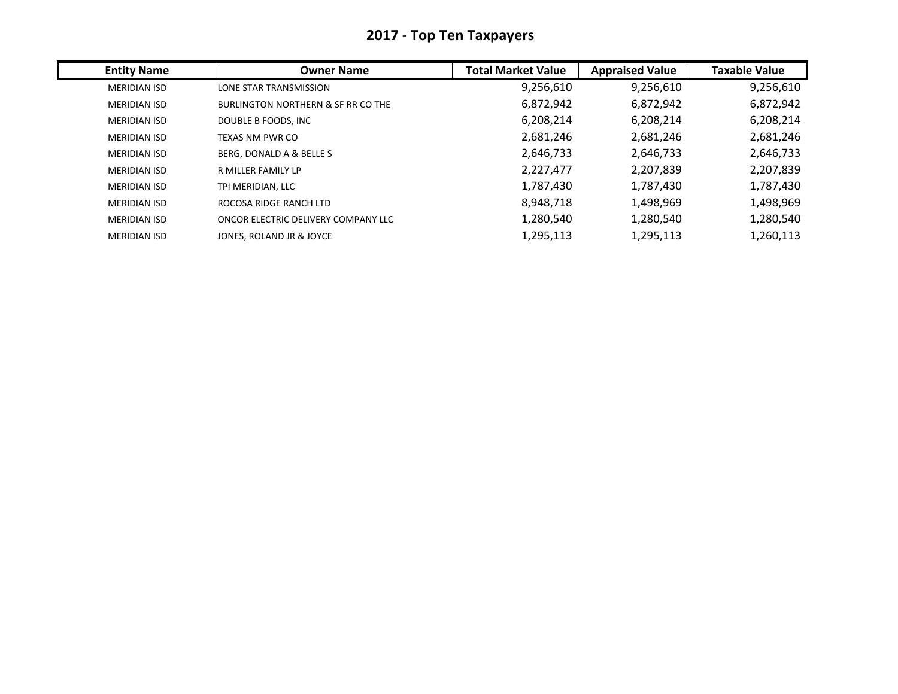| <b>Entity Name</b>  | <b>Owner Name</b>                             | <b>Total Market Value</b> | <b>Appraised Value</b> | <b>Taxable Value</b> |
|---------------------|-----------------------------------------------|---------------------------|------------------------|----------------------|
| <b>MERIDIAN ISD</b> | LONE STAR TRANSMISSION                        | 9,256,610                 | 9,256,610              | 9,256,610            |
| <b>MERIDIAN ISD</b> | <b>BURLINGTON NORTHERN &amp; SF RR CO THE</b> | 6,872,942                 | 6,872,942              | 6,872,942            |
| <b>MERIDIAN ISD</b> | DOUBLE B FOODS, INC                           | 6,208,214                 | 6,208,214              | 6,208,214            |
| <b>MERIDIAN ISD</b> | TEXAS NM PWR CO                               | 2,681,246                 | 2,681,246              | 2,681,246            |
| <b>MERIDIAN ISD</b> | BERG. DONALD A & BELLE S                      | 2,646,733                 | 2,646,733              | 2,646,733            |
| MERIDIAN ISD        | R MILLER FAMILY LP                            | 2,227,477                 | 2,207,839              | 2,207,839            |
| <b>MERIDIAN ISD</b> | TPI MERIDIAN, LLC                             | 1,787,430                 | 1,787,430              | 1,787,430            |
| <b>MERIDIAN ISD</b> | ROCOSA RIDGE RANCH LTD                        | 8,948,718                 | 1,498,969              | 1,498,969            |
| MERIDIAN ISD        | ONCOR ELECTRIC DELIVERY COMPANY LLC           | 1,280,540                 | 1,280,540              | 1,280,540            |
| <b>MERIDIAN ISD</b> | JONES. ROLAND JR & JOYCE                      | 1,295,113                 | 1,295,113              | 1,260,113            |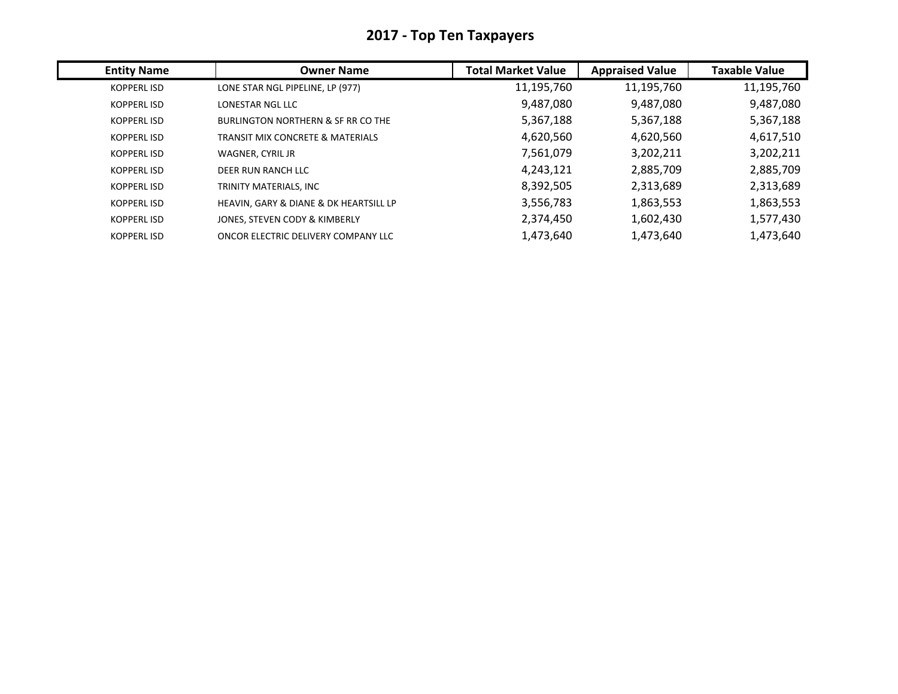| <b>Entity Name</b> | <b>Owner Name</b>                           | <b>Total Market Value</b> | <b>Appraised Value</b> | <b>Taxable Value</b> |
|--------------------|---------------------------------------------|---------------------------|------------------------|----------------------|
| KOPPERL ISD        | LONE STAR NGL PIPELINE, LP (977)            | 11,195,760                | 11,195,760             | 11,195,760           |
| <b>KOPPERLISD</b>  | LONESTAR NGL LLC                            | 9,487,080                 | 9,487,080              | 9,487,080            |
| <b>KOPPERLISD</b>  | BURLINGTON NORTHERN & SF RR CO THE          | 5,367,188                 | 5,367,188              | 5,367,188            |
| <b>KOPPERLISD</b>  | <b>TRANSIT MIX CONCRETE &amp; MATERIALS</b> | 4,620,560                 | 4,620,560              | 4,617,510            |
| <b>KOPPERLISD</b>  | WAGNER, CYRIL JR                            | 7,561,079                 | 3,202,211              | 3,202,211            |
| <b>KOPPERLISD</b>  | DEER RUN RANCH LLC                          | 4,243,121                 | 2,885,709              | 2,885,709            |
| <b>KOPPERLISD</b>  | TRINITY MATERIALS, INC                      | 8,392,505                 | 2,313,689              | 2,313,689            |
| <b>KOPPERLISD</b>  | HEAVIN, GARY & DIANE & DK HEARTSILL LP      | 3,556,783                 | 1,863,553              | 1,863,553            |
| <b>KOPPERLISD</b>  | JONES. STEVEN CODY & KIMBERLY               | 2,374,450                 | 1,602,430              | 1,577,430            |
| <b>KOPPERLISD</b>  | ONCOR ELECTRIC DELIVERY COMPANY LLC         | 1,473,640                 | 1,473,640              | 1,473,640            |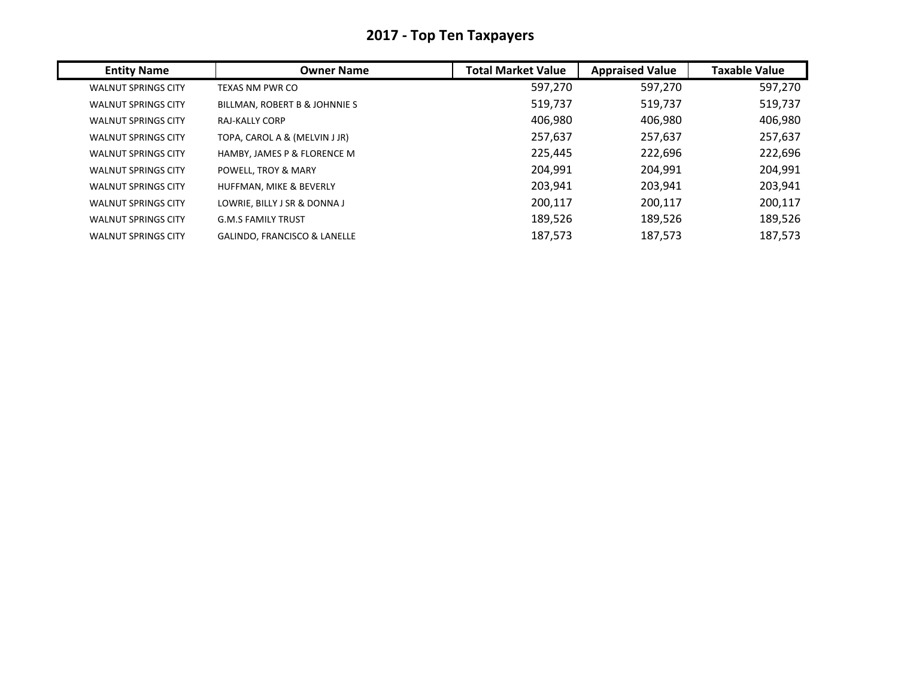| <b>Entity Name</b>         | <b>Owner Name</b>                       | <b>Total Market Value</b> | <b>Appraised Value</b> | <b>Taxable Value</b> |
|----------------------------|-----------------------------------------|---------------------------|------------------------|----------------------|
| <b>WALNUT SPRINGS CITY</b> | TEXAS NM PWR CO                         | 597,270                   | 597,270                | 597,270              |
| <b>WALNUT SPRINGS CITY</b> | BILLMAN, ROBERT B & JOHNNIE S           | 519,737                   | 519,737                | 519,737              |
| <b>WALNUT SPRINGS CITY</b> | <b>RAJ-KALLY CORP</b>                   | 406.980                   | 406,980                | 406,980              |
| <b>WALNUT SPRINGS CITY</b> | TOPA, CAROL A & (MELVIN J JR)           | 257,637                   | 257,637                | 257,637              |
| <b>WALNUT SPRINGS CITY</b> | HAMBY, JAMES P & FLORENCE M             | 225,445                   | 222,696                | 222,696              |
| <b>WALNUT SPRINGS CITY</b> | POWELL, TROY & MARY                     | 204,991                   | 204,991                | 204,991              |
| <b>WALNUT SPRINGS CITY</b> | HUFFMAN, MIKE & BEVERLY                 | 203,941                   | 203,941                | 203,941              |
| <b>WALNUT SPRINGS CITY</b> | LOWRIE, BILLY J SR & DONNA J            | 200,117                   | 200,117                | 200,117              |
| <b>WALNUT SPRINGS CITY</b> | <b>G.M.S FAMILY TRUST</b>               | 189,526                   | 189,526                | 189,526              |
| <b>WALNUT SPRINGS CITY</b> | <b>GALINDO, FRANCISCO &amp; LANELLE</b> | 187,573                   | 187,573                | 187,573              |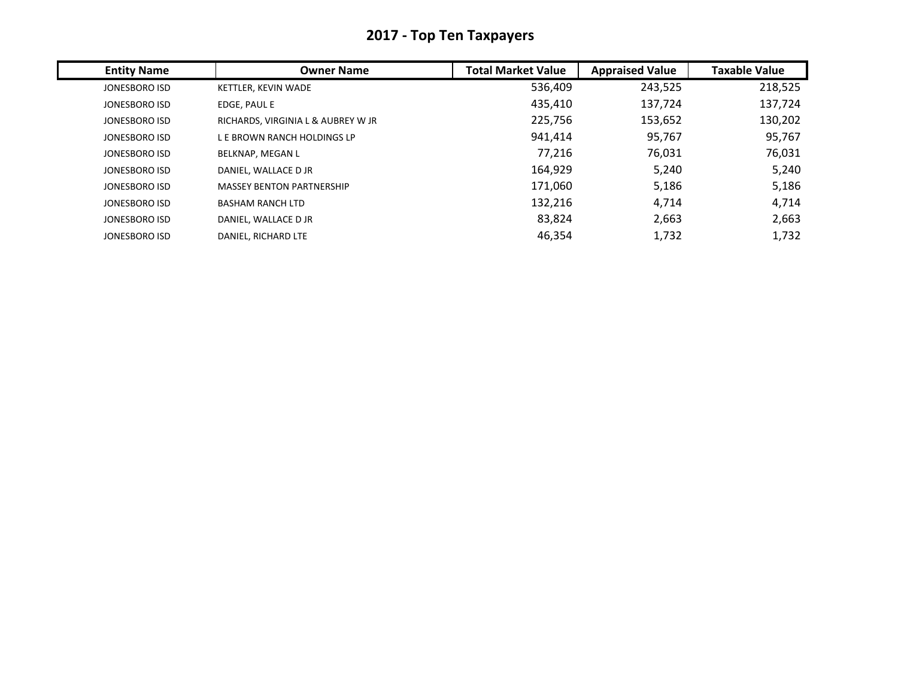| <b>Entity Name</b> | <b>Owner Name</b>                  | <b>Total Market Value</b> | <b>Appraised Value</b> | <b>Taxable Value</b> |
|--------------------|------------------------------------|---------------------------|------------------------|----------------------|
| JONESBORO ISD      | KETTLER, KEVIN WADE                | 536,409                   | 243,525                | 218,525              |
| JONESBORO ISD      | EDGE, PAUL E                       | 435,410                   | 137,724                | 137,724              |
| JONESBORO ISD      | RICHARDS, VIRGINIA L & AUBREY W JR | 225,756                   | 153,652                | 130,202              |
| JONESBORO ISD      | L E BROWN RANCH HOLDINGS LP        | 941,414                   | 95,767                 | 95,767               |
| JONESBORO ISD      | <b>BELKNAP, MEGAN L</b>            | 77,216                    | 76,031                 | 76,031               |
| JONESBORO ISD      | DANIEL, WALLACE D JR               | 164,929                   | 5,240                  | 5,240                |
| JONESBORO ISD      | <b>MASSEY BENTON PARTNERSHIP</b>   | 171,060                   | 5,186                  | 5,186                |
| JONESBORO ISD      | <b>BASHAM RANCH LTD</b>            | 132,216                   | 4,714                  | 4,714                |
| JONESBORO ISD      | DANIEL, WALLACE D JR               | 83,824                    | 2,663                  | 2,663                |
| JONESBORO ISD      | DANIEL, RICHARD LTE                | 46,354                    | 1,732                  | 1,732                |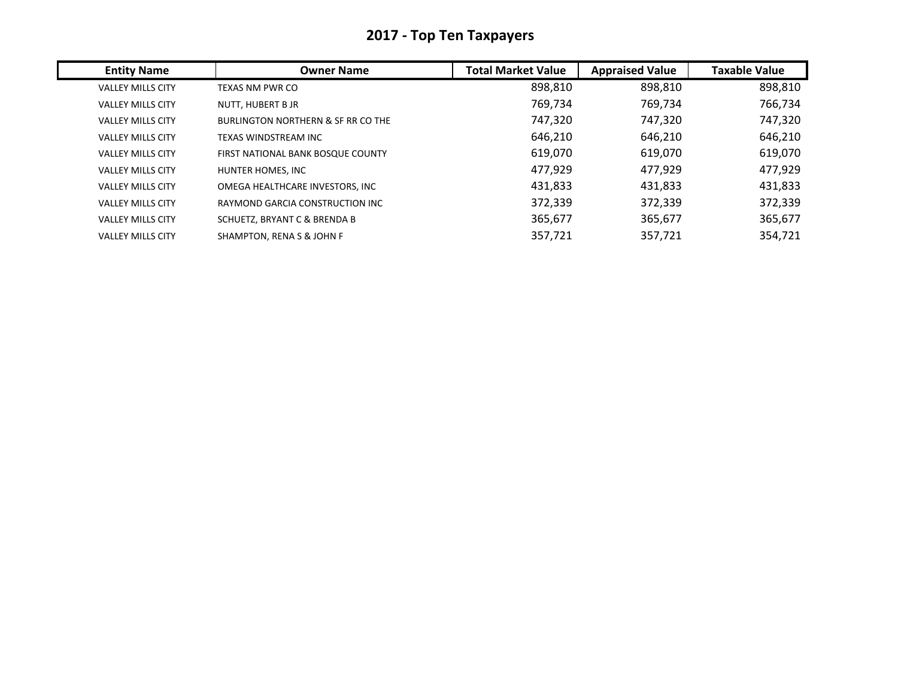| <b>Entity Name</b>       | <b>Owner Name</b>                             | <b>Total Market Value</b> | <b>Appraised Value</b> | <b>Taxable Value</b> |
|--------------------------|-----------------------------------------------|---------------------------|------------------------|----------------------|
| <b>VALLEY MILLS CITY</b> | TEXAS NM PWR CO                               | 898,810                   | 898,810                | 898,810              |
| <b>VALLEY MILLS CITY</b> | NUTT, HUBERT B JR                             | 769,734                   | 769,734                | 766,734              |
| <b>VALLEY MILLS CITY</b> | <b>BURLINGTON NORTHERN &amp; SF RR CO THE</b> | 747,320                   | 747,320                | 747,320              |
| <b>VALLEY MILLS CITY</b> | TEXAS WINDSTREAM INC                          | 646,210                   | 646,210                | 646,210              |
| <b>VALLEY MILLS CITY</b> | FIRST NATIONAL BANK BOSQUE COUNTY             | 619,070                   | 619,070                | 619,070              |
| <b>VALLEY MILLS CITY</b> | HUNTER HOMES, INC                             | 477,929                   | 477,929                | 477,929              |
| <b>VALLEY MILLS CITY</b> | OMEGA HEALTHCARE INVESTORS, INC               | 431,833                   | 431,833                | 431,833              |
| <b>VALLEY MILLS CITY</b> | RAYMOND GARCIA CONSTRUCTION INC               | 372,339                   | 372,339                | 372,339              |
| <b>VALLEY MILLS CITY</b> | <b>SCHUETZ, BRYANT C &amp; BRENDA B</b>       | 365,677                   | 365,677                | 365,677              |
| <b>VALLEY MILLS CITY</b> | SHAMPTON, RENA S & JOHN F                     | 357,721                   | 357,721                | 354,721              |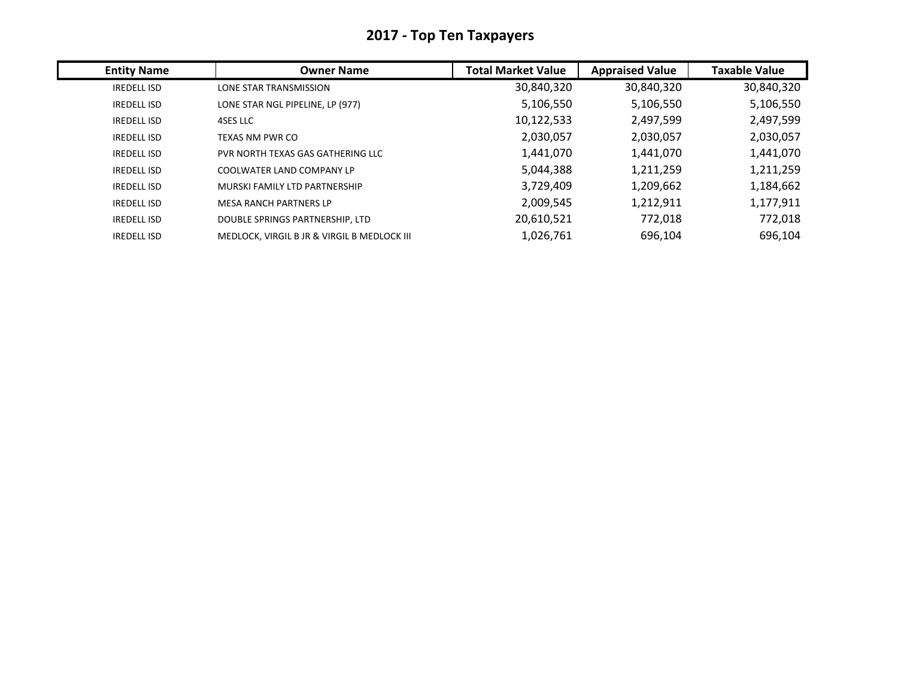| <b>Entity Name</b> | <b>Owner Name</b>                           | <b>Total Market Value</b> | <b>Appraised Value</b> | <b>Taxable Value</b> |
|--------------------|---------------------------------------------|---------------------------|------------------------|----------------------|
| <b>IREDELL ISD</b> | LONE STAR TRANSMISSION                      | 30,840,320                | 30,840,320             | 30,840,320           |
| <b>IREDELL ISD</b> | LONE STAR NGL PIPELINE, LP (977)            | 5,106,550                 | 5,106,550              | 5,106,550            |
| <b>IREDELL ISD</b> | 4SES LLC                                    | 10,122,533                | 2,497,599              | 2,497,599            |
| <b>IREDELL ISD</b> | TEXAS NM PWR CO                             | 2,030,057                 | 2,030,057              | 2,030,057            |
| <b>IREDELL ISD</b> | PVR NORTH TEXAS GAS GATHERING LLC           | 1,441,070                 | 1,441,070              | 1,441,070            |
| <b>IREDELL ISD</b> | COOLWATER LAND COMPANY LP                   | 5,044,388                 | 1,211,259              | 1,211,259            |
| <b>IREDELL ISD</b> | MURSKI FAMILY LTD PARTNERSHIP               | 3,729,409                 | 1,209,662              | 1,184,662            |
| <b>IREDELL ISD</b> | <b>MESA RANCH PARTNERS LP</b>               | 2,009,545                 | 1,212,911              | 1,177,911            |
| <b>IREDELL ISD</b> | DOUBLE SPRINGS PARTNERSHIP, LTD             | 20,610,521                | 772,018                | 772,018              |
| <b>IREDELL ISD</b> | MEDLOCK, VIRGIL B JR & VIRGIL B MEDLOCK III | 1,026,761                 | 696,104                | 696,104              |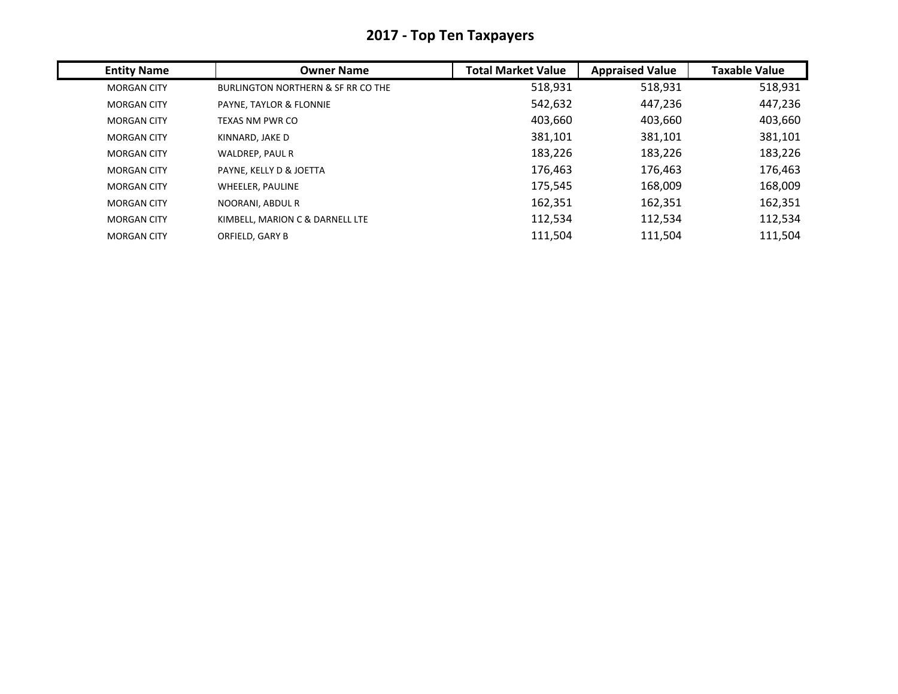| <b>Entity Name</b> | <b>Owner Name</b>                             | <b>Total Market Value</b> | <b>Appraised Value</b> | <b>Taxable Value</b> |
|--------------------|-----------------------------------------------|---------------------------|------------------------|----------------------|
| <b>MORGAN CITY</b> | <b>BURLINGTON NORTHERN &amp; SF RR CO THE</b> | 518,931                   | 518,931                | 518,931              |
| <b>MORGAN CITY</b> | PAYNE, TAYLOR & FLONNIE                       | 542,632                   | 447,236                | 447,236              |
| <b>MORGAN CITY</b> | TEXAS NM PWR CO                               | 403,660                   | 403,660                | 403,660              |
| <b>MORGAN CITY</b> | KINNARD, JAKE D                               | 381,101                   | 381,101                | 381,101              |
| <b>MORGAN CITY</b> | WALDREP, PAUL R                               | 183,226                   | 183,226                | 183,226              |
| <b>MORGAN CITY</b> | PAYNE, KELLY D & JOETTA                       | 176,463                   | 176,463                | 176,463              |
| <b>MORGAN CITY</b> | WHEELER, PAULINE                              | 175,545                   | 168,009                | 168,009              |
| <b>MORGAN CITY</b> | NOORANI, ABDUL R                              | 162,351                   | 162,351                | 162,351              |
| <b>MORGAN CITY</b> | KIMBELL, MARION C & DARNELL LTE               | 112,534                   | 112,534                | 112,534              |
| <b>MORGAN CITY</b> | ORFIELD, GARY B                               | 111,504                   | 111,504                | 111,504              |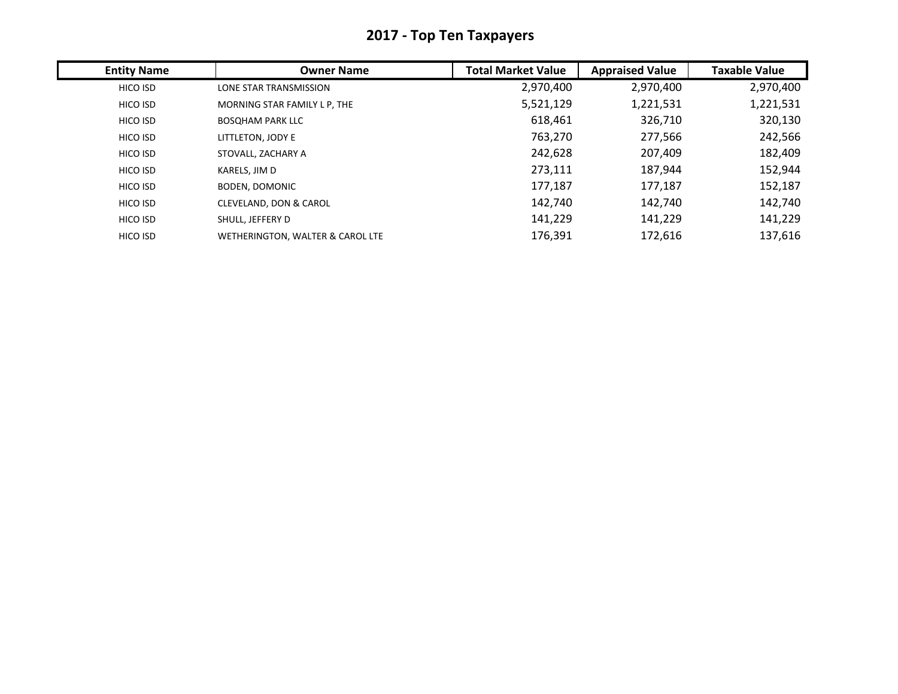| <b>Entity Name</b> | <b>Owner Name</b>                 | <b>Total Market Value</b> | <b>Appraised Value</b> | <b>Taxable Value</b> |
|--------------------|-----------------------------------|---------------------------|------------------------|----------------------|
| HICO ISD           | LONE STAR TRANSMISSION            | 2,970,400                 | 2,970,400              | 2,970,400            |
| HICO ISD           | MORNING STAR FAMILY L P, THE      | 5,521,129                 | 1,221,531              | 1,221,531            |
| HICO ISD           | <b>BOSOHAM PARK LLC</b>           | 618,461                   | 326,710                | 320,130              |
| HICO ISD           | LITTLETON, JODY E                 | 763,270                   | 277,566                | 242,566              |
| HICO ISD           | STOVALL, ZACHARY A                | 242,628                   | 207,409                | 182,409              |
| HICO ISD           | KARELS, JIM D                     | 273,111                   | 187,944                | 152,944              |
| HICO ISD           | <b>BODEN, DOMONIC</b>             | 177,187                   | 177,187                | 152,187              |
| HICO ISD           | <b>CLEVELAND, DON &amp; CAROL</b> | 142,740                   | 142,740                | 142,740              |
| HICO ISD           | SHULL, JEFFERY D                  | 141,229                   | 141,229                | 141,229              |
| HICO ISD           | WETHERINGTON, WALTER & CAROL LTE  | 176,391                   | 172,616                | 137,616              |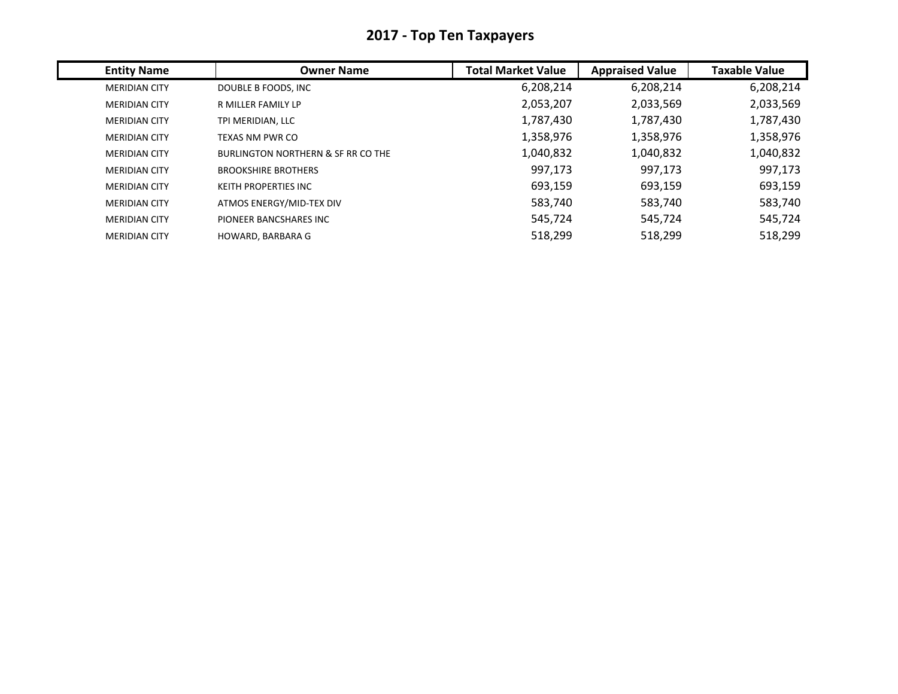| <b>Entity Name</b>   | <b>Owner Name</b>                  | <b>Total Market Value</b> | <b>Appraised Value</b> | <b>Taxable Value</b> |
|----------------------|------------------------------------|---------------------------|------------------------|----------------------|
| <b>MERIDIAN CITY</b> | DOUBLE B FOODS, INC                | 6,208,214                 | 6,208,214              | 6,208,214            |
| <b>MERIDIAN CITY</b> | R MILLER FAMILY LP                 | 2,053,207                 | 2,033,569              | 2,033,569            |
| <b>MERIDIAN CITY</b> | TPI MERIDIAN, LLC                  | 1,787,430                 | 1,787,430              | 1,787,430            |
| <b>MERIDIAN CITY</b> | <b>TEXAS NM PWR CO</b>             | 1,358,976                 | 1,358,976              | 1,358,976            |
| <b>MERIDIAN CITY</b> | BURLINGTON NORTHERN & SF RR CO THE | 1,040,832                 | 1,040,832              | 1,040,832            |
| <b>MERIDIAN CITY</b> | <b>BROOKSHIRE BROTHERS</b>         | 997,173                   | 997,173                | 997,173              |
| <b>MERIDIAN CITY</b> | <b>KEITH PROPERTIES INC</b>        | 693,159                   | 693,159                | 693,159              |
| <b>MERIDIAN CITY</b> | ATMOS ENERGY/MID-TEX DIV           | 583,740                   | 583,740                | 583,740              |
| <b>MERIDIAN CITY</b> | PIONEER BANCSHARES INC             | 545,724                   | 545,724                | 545,724              |
| <b>MERIDIAN CITY</b> | HOWARD, BARBARA G                  | 518,299                   | 518,299                | 518,299              |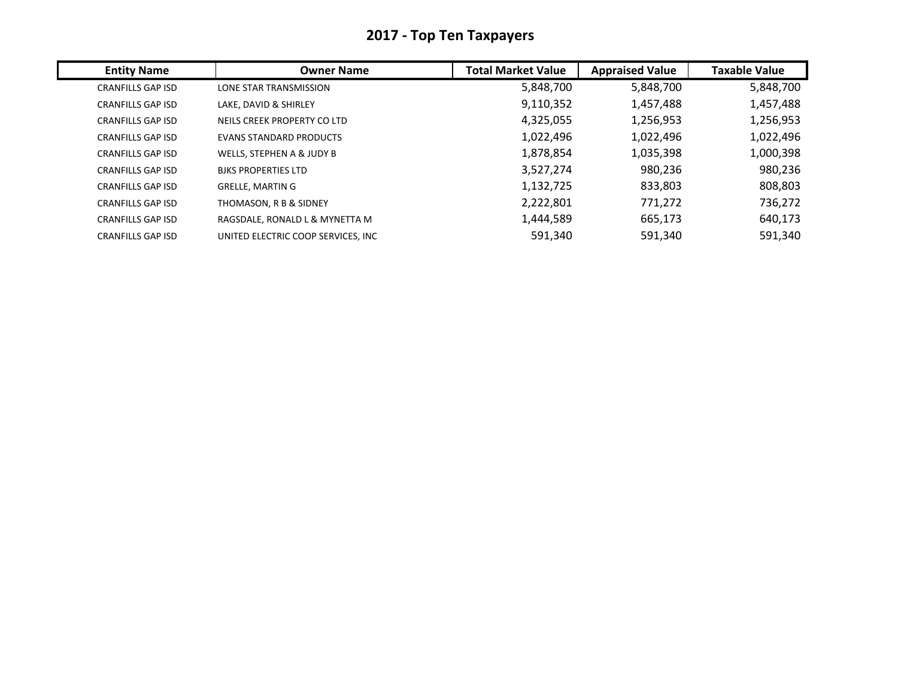| <b>Entity Name</b>       | <b>Owner Name</b>                  | <b>Total Market Value</b> | <b>Appraised Value</b> | <b>Taxable Value</b> |
|--------------------------|------------------------------------|---------------------------|------------------------|----------------------|
| <b>CRANFILLS GAP ISD</b> | LONE STAR TRANSMISSION             | 5,848,700                 | 5,848,700              | 5,848,700            |
| <b>CRANFILLS GAP ISD</b> | LAKE, DAVID & SHIRLEY              | 9,110,352                 | 1,457,488              | 1,457,488            |
| <b>CRANFILLS GAP ISD</b> | NEILS CREEK PROPERTY CO LTD        | 4,325,055                 | 1,256,953              | 1,256,953            |
| <b>CRANFILLS GAP ISD</b> | <b>EVANS STANDARD PRODUCTS</b>     | 1,022,496                 | 1,022,496              | 1,022,496            |
| <b>CRANFILLS GAP ISD</b> | WELLS, STEPHEN A & JUDY B          | 1,878,854                 | 1,035,398              | 1,000,398            |
| <b>CRANFILLS GAP ISD</b> | <b>BJKS PROPERTIES LTD</b>         | 3,527,274                 | 980,236                | 980,236              |
| <b>CRANFILLS GAP ISD</b> | <b>GRELLE, MARTIN G</b>            | 1,132,725                 | 833,803                | 808,803              |
| <b>CRANFILLS GAP ISD</b> | THOMASON, R B & SIDNEY             | 2,222,801                 | 771,272                | 736,272              |
| <b>CRANFILLS GAP ISD</b> | RAGSDALE, RONALD L & MYNETTA M     | 1,444,589                 | 665,173                | 640,173              |
| <b>CRANFILLS GAP ISD</b> | UNITED ELECTRIC COOP SERVICES, INC | 591,340                   | 591,340                | 591,340              |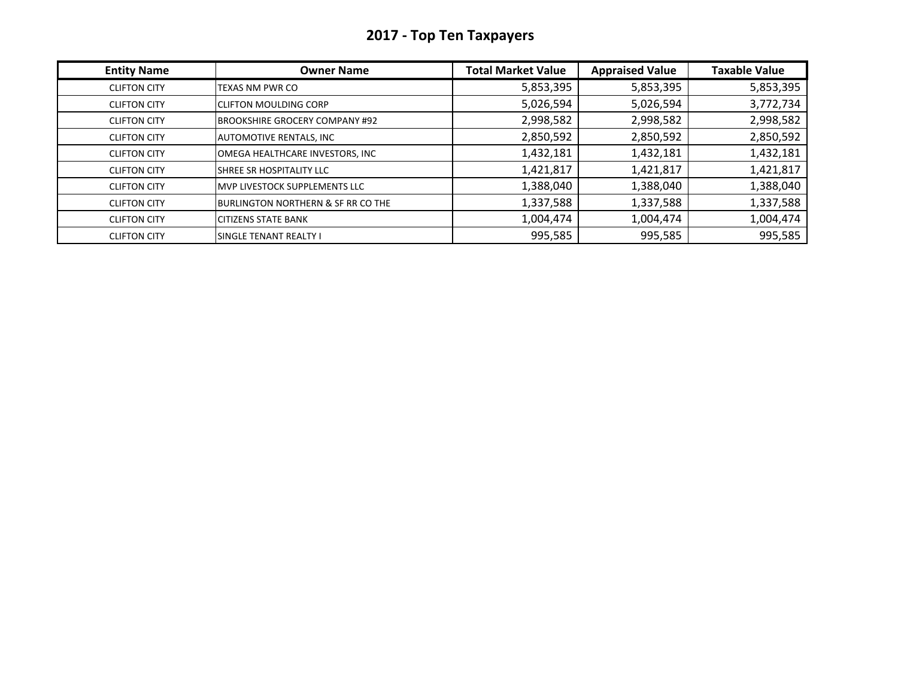| <b>Entity Name</b>  | <b>Owner Name</b>                     | <b>Total Market Value</b> | <b>Appraised Value</b> | <b>Taxable Value</b> |
|---------------------|---------------------------------------|---------------------------|------------------------|----------------------|
| <b>CLIFTON CITY</b> | TEXAS NM PWR CO                       | 5,853,395                 | 5,853,395              | 5,853,395            |
| <b>CLIFTON CITY</b> | <b>CLIFTON MOULDING CORP</b>          | 5,026,594                 | 5,026,594              | 3,772,734            |
| <b>CLIFTON CITY</b> | <b>BROOKSHIRE GROCERY COMPANY #92</b> | 2,998,582                 | 2,998,582              | 2,998,582            |
| <b>CLIFTON CITY</b> | <b>AUTOMOTIVE RENTALS, INC</b>        | 2,850,592                 | 2,850,592              | 2,850,592            |
| <b>CLIFTON CITY</b> | OMEGA HEALTHCARE INVESTORS, INC       | 1,432,181                 | 1,432,181              | 1,432,181            |
| <b>CLIFTON CITY</b> | SHREE SR HOSPITALITY LLC              | 1,421,817                 | 1,421,817              | 1,421,817            |
| <b>CLIFTON CITY</b> | IMVP LIVESTOCK SUPPLEMENTS LLC        | 1,388,040                 | 1,388,040              | 1,388,040            |
| <b>CLIFTON CITY</b> | BURLINGTON NORTHERN & SF RR CO THE    | 1,337,588                 | 1,337,588              | 1,337,588            |
| <b>CLIFTON CITY</b> | <b>CITIZENS STATE BANK</b>            | 1,004,474                 | 1,004,474              | 1,004,474            |
| <b>CLIFTON CITY</b> | <b>I</b> SINGLE TENANT REALTY I       | 995,585                   | 995,585                | 995,585              |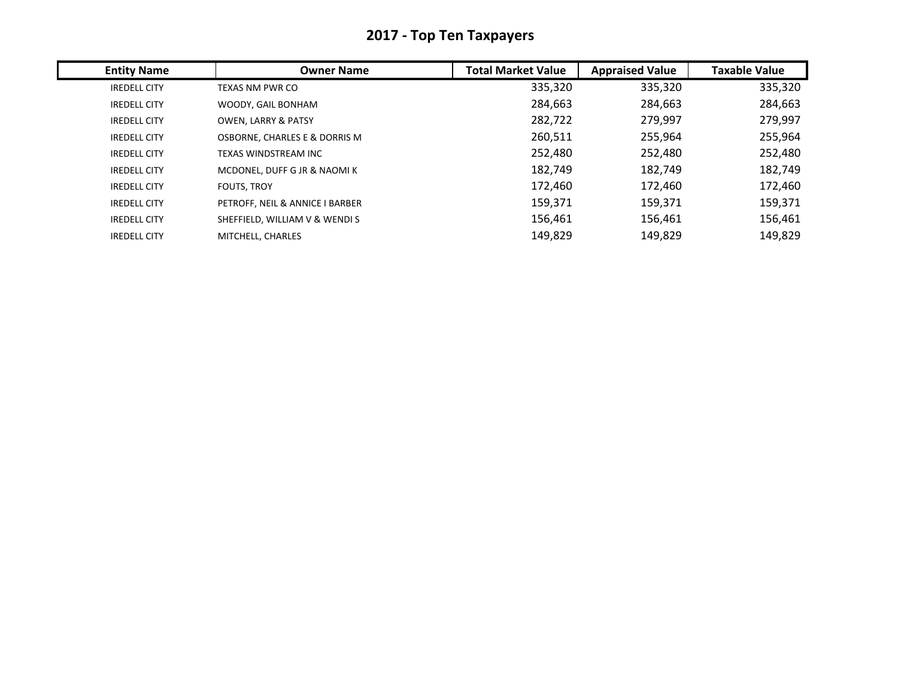| <b>Entity Name</b>  | <b>Owner Name</b>               | <b>Total Market Value</b> | <b>Appraised Value</b> | <b>Taxable Value</b> |
|---------------------|---------------------------------|---------------------------|------------------------|----------------------|
| <b>IREDELL CITY</b> | TEXAS NM PWR CO                 | 335,320                   | 335,320                | 335,320              |
| <b>IREDELL CITY</b> | WOODY, GAIL BONHAM              | 284,663                   | 284,663                | 284,663              |
| <b>IREDELL CITY</b> | <b>OWEN, LARRY &amp; PATSY</b>  | 282,722                   | 279,997                | 279,997              |
| <b>IREDELL CITY</b> | OSBORNE, CHARLES E & DORRIS M   | 260,511                   | 255,964                | 255,964              |
| <b>IREDELL CITY</b> | TEXAS WINDSTREAM INC            | 252,480                   | 252,480                | 252,480              |
| <b>IREDELL CITY</b> | MCDONEL, DUFF G JR & NAOMIK     | 182,749                   | 182,749                | 182,749              |
| <b>IREDELL CITY</b> | <b>FOUTS, TROY</b>              | 172,460                   | 172,460                | 172,460              |
| <b>IREDELL CITY</b> | PETROFF, NEIL & ANNICE I BARBER | 159,371                   | 159,371                | 159,371              |
| <b>IREDELL CITY</b> | SHEFFIELD, WILLIAM V & WENDIS   | 156,461                   | 156,461                | 156,461              |
| <b>IREDELL CITY</b> | MITCHELL, CHARLES               | 149,829                   | 149,829                | 149,829              |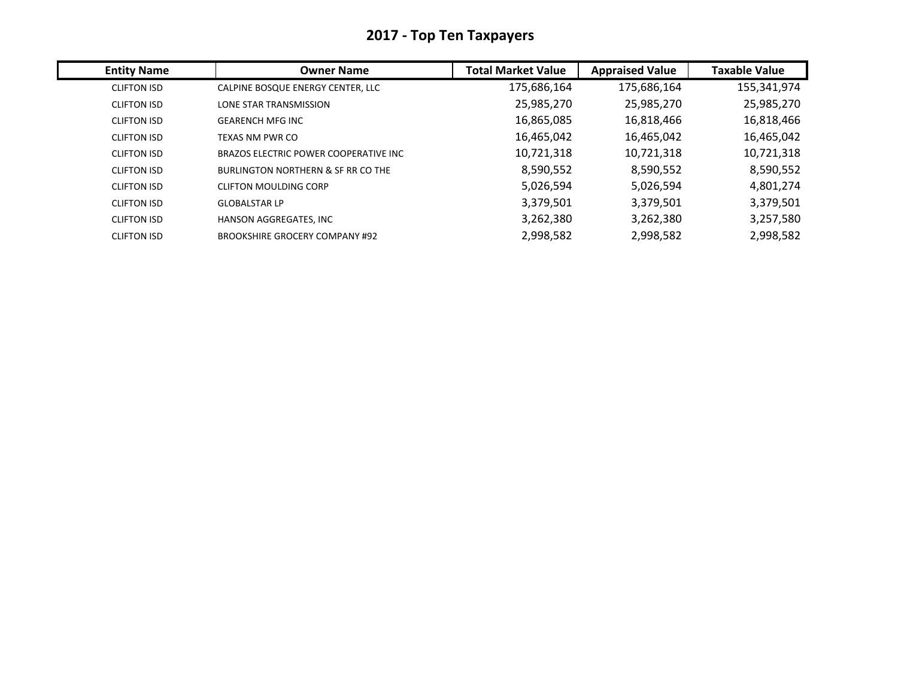| <b>Entity Name</b> | <b>Owner Name</b>                     | <b>Total Market Value</b> | <b>Appraised Value</b> | <b>Taxable Value</b> |
|--------------------|---------------------------------------|---------------------------|------------------------|----------------------|
| <b>CLIFTON ISD</b> | CALPINE BOSQUE ENERGY CENTER, LLC     | 175,686,164               | 175,686,164            | 155,341,974          |
| <b>CLIFTON ISD</b> | LONE STAR TRANSMISSION                | 25,985,270                | 25,985,270             | 25,985,270           |
| <b>CLIFTON ISD</b> | <b>GEARENCH MFG INC</b>               | 16,865,085                | 16,818,466             | 16,818,466           |
| <b>CLIFTON ISD</b> | TEXAS NM PWR CO                       | 16,465,042                | 16,465,042             | 16,465,042           |
| <b>CLIFTON ISD</b> | BRAZOS ELECTRIC POWER COOPERATIVE INC | 10,721,318                | 10,721,318             | 10,721,318           |
| <b>CLIFTON ISD</b> | BURLINGTON NORTHERN & SF RR CO THE    | 8,590,552                 | 8,590,552              | 8,590,552            |
| <b>CLIFTON ISD</b> | <b>CLIFTON MOULDING CORP</b>          | 5,026,594                 | 5,026,594              | 4,801,274            |
| <b>CLIFTON ISD</b> | <b>GLOBALSTAR LP</b>                  | 3,379,501                 | 3,379,501              | 3,379,501            |
| <b>CLIFTON ISD</b> | HANSON AGGREGATES, INC                | 3,262,380                 | 3,262,380              | 3,257,580            |
| <b>CLIFTON ISD</b> | <b>BROOKSHIRE GROCERY COMPANY #92</b> | 2,998,582                 | 2,998,582              | 2,998,582            |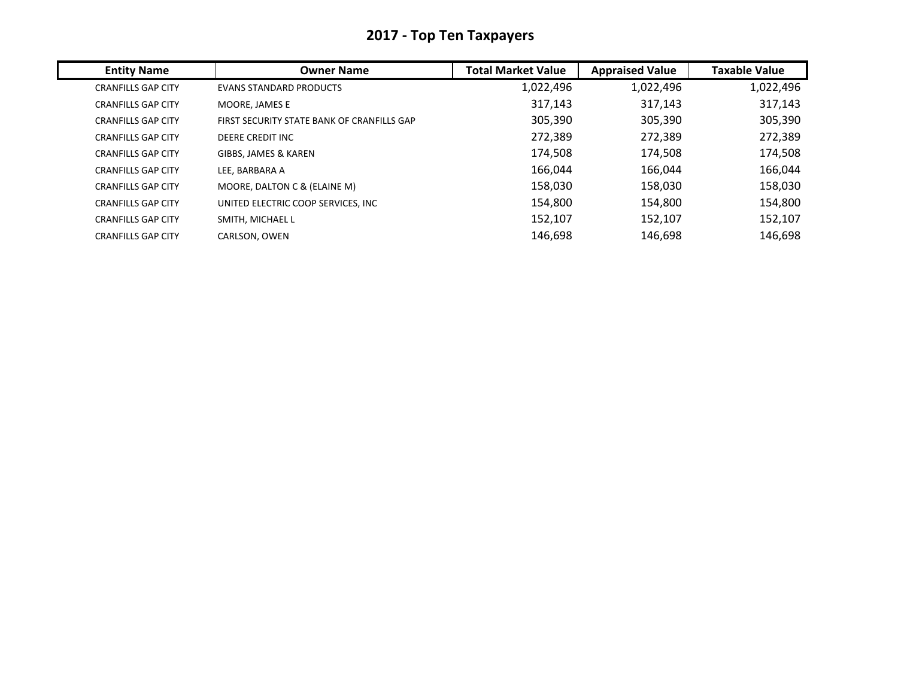|  |  |  | 2017 - Top Ten Taxpayers |  |
|--|--|--|--------------------------|--|
|--|--|--|--------------------------|--|

| <b>Entity Name</b>        | <b>Owner Name</b>                          | <b>Total Market Value</b> | <b>Appraised Value</b> | <b>Taxable Value</b> |
|---------------------------|--------------------------------------------|---------------------------|------------------------|----------------------|
| <b>CRANFILLS GAP CITY</b> | <b>EVANS STANDARD PRODUCTS</b>             | 1,022,496                 | 1,022,496              | 1,022,496            |
| <b>CRANFILLS GAP CITY</b> | MOORE, JAMES E                             | 317,143                   | 317,143                | 317,143              |
| <b>CRANFILLS GAP CITY</b> | FIRST SECURITY STATE BANK OF CRANFILLS GAP | 305,390                   | 305,390                | 305,390              |
| <b>CRANFILLS GAP CITY</b> | DEERE CREDIT INC                           | 272,389                   | 272,389                | 272,389              |
| <b>CRANFILLS GAP CITY</b> | GIBBS, JAMES & KAREN                       | 174,508                   | 174,508                | 174,508              |
| <b>CRANFILLS GAP CITY</b> | LEE. BARBARA A                             | 166,044                   | 166,044                | 166,044              |
| <b>CRANFILLS GAP CITY</b> | MOORE, DALTON C & (ELAINE M)               | 158,030                   | 158,030                | 158,030              |
| <b>CRANFILLS GAP CITY</b> | UNITED ELECTRIC COOP SERVICES, INC         | 154,800                   | 154,800                | 154,800              |
| <b>CRANFILLS GAP CITY</b> | SMITH, MICHAEL L                           | 152,107                   | 152,107                | 152,107              |
| <b>CRANFILLS GAP CITY</b> | CARLSON, OWEN                              | 146.698                   | 146,698                | 146,698              |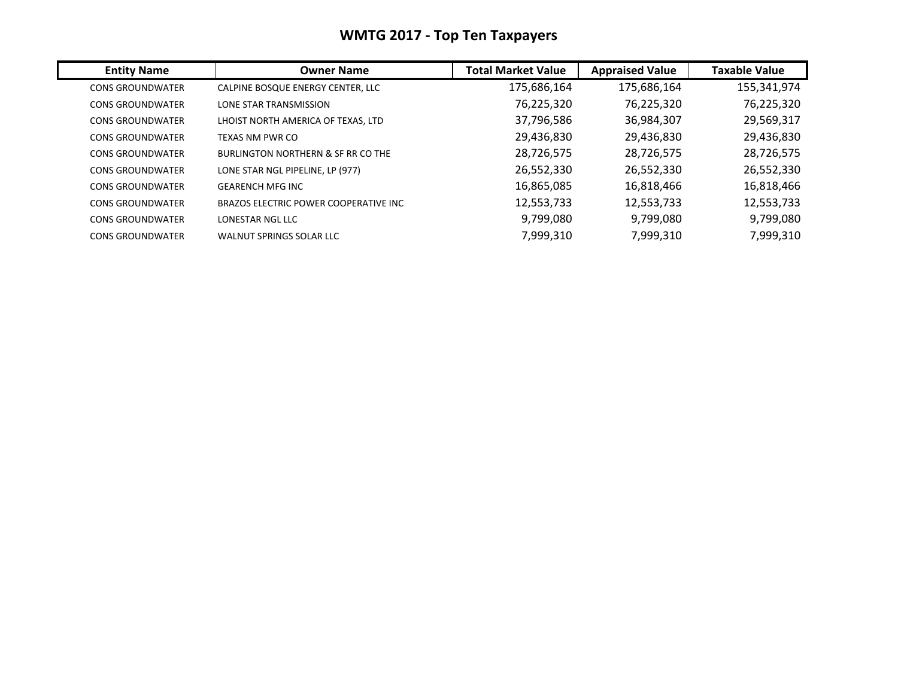## **WMTG 2017 ‐ Top Ten Taxpayers**

| <b>Entity Name</b>      | <b>Owner Name</b>                     | <b>Total Market Value</b> | <b>Appraised Value</b> | <b>Taxable Value</b> |
|-------------------------|---------------------------------------|---------------------------|------------------------|----------------------|
| <b>CONS GROUNDWATER</b> | CALPINE BOSQUE ENERGY CENTER, LLC     | 175,686,164               | 175,686,164            | 155,341,974          |
| <b>CONS GROUNDWATER</b> | LONE STAR TRANSMISSION                | 76,225,320                | 76,225,320             | 76,225,320           |
| <b>CONS GROUNDWATER</b> | LHOIST NORTH AMERICA OF TEXAS, LTD    | 37,796,586                | 36,984,307             | 29,569,317           |
| <b>CONS GROUNDWATER</b> | TEXAS NM PWR CO                       | 29,436,830                | 29,436,830             | 29,436,830           |
| <b>CONS GROUNDWATER</b> | BURLINGTON NORTHERN & SF RR CO THE    | 28,726,575                | 28,726,575             | 28,726,575           |
| <b>CONS GROUNDWATER</b> | LONE STAR NGL PIPELINE, LP (977)      | 26,552,330                | 26,552,330             | 26,552,330           |
| <b>CONS GROUNDWATER</b> | <b>GEARENCH MFG INC</b>               | 16,865,085                | 16,818,466             | 16,818,466           |
| <b>CONS GROUNDWATER</b> | BRAZOS ELECTRIC POWER COOPERATIVE INC | 12,553,733                | 12,553,733             | 12,553,733           |
| <b>CONS GROUNDWATER</b> | LONESTAR NGL LLC                      | 9,799,080                 | 9,799,080              | 9,799,080            |
| <b>CONS GROUNDWATER</b> | WALNUT SPRINGS SOLAR LLC              | 7,999,310                 | 7,999,310              | 7,999,310            |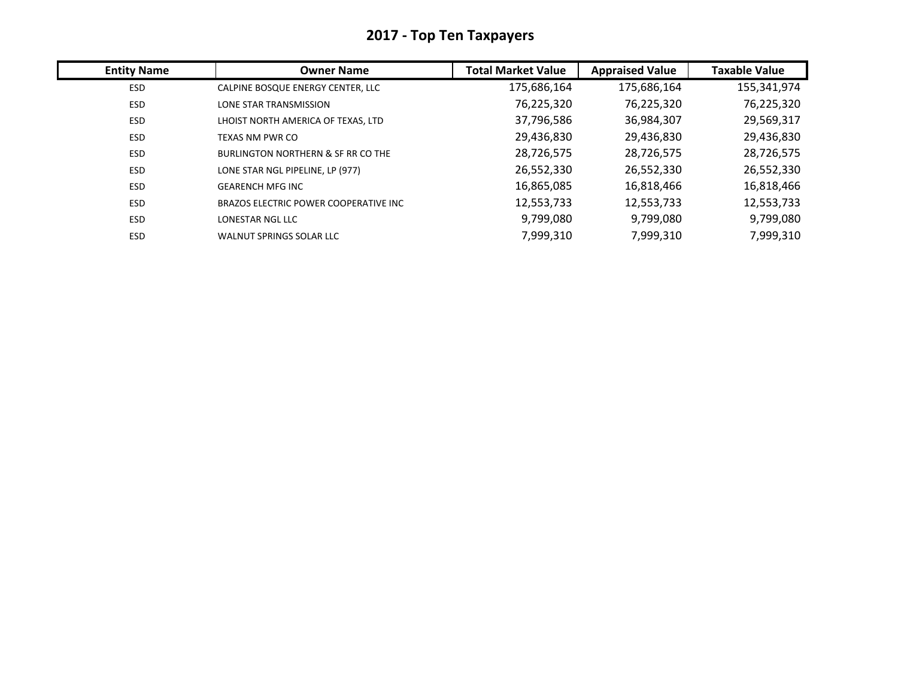| <b>Entity Name</b> | <b>Owner Name</b>                             | <b>Total Market Value</b> | <b>Appraised Value</b> | <b>Taxable Value</b> |
|--------------------|-----------------------------------------------|---------------------------|------------------------|----------------------|
| ESD                | CALPINE BOSQUE ENERGY CENTER, LLC             | 175,686,164               | 175,686,164            | 155,341,974          |
| ESD                | <b>LONE STAR TRANSMISSION</b>                 | 76,225,320                | 76,225,320             | 76,225,320           |
| ESD                | LHOIST NORTH AMERICA OF TEXAS, LTD            | 37,796,586                | 36,984,307             | 29,569,317           |
| ESD                | TEXAS NM PWR CO                               | 29,436,830                | 29,436,830             | 29,436,830           |
| ESD                | <b>BURLINGTON NORTHERN &amp; SF RR CO THE</b> | 28,726,575                | 28,726,575             | 28,726,575           |
| ESD                | LONE STAR NGL PIPELINE, LP (977)              | 26,552,330                | 26,552,330             | 26,552,330           |
| ESD                | <b>GEARENCH MFG INC</b>                       | 16,865,085                | 16,818,466             | 16,818,466           |
| <b>ESD</b>         | BRAZOS ELECTRIC POWER COOPERATIVE INC         | 12,553,733                | 12,553,733             | 12,553,733           |
| <b>ESD</b>         | LONESTAR NGL LLC                              | 9,799,080                 | 9,799,080              | 9,799,080            |
| ESD                | <b>WALNUT SPRINGS SOLAR LLC</b>               | 7,999,310                 | 7,999,310              | 7,999,310            |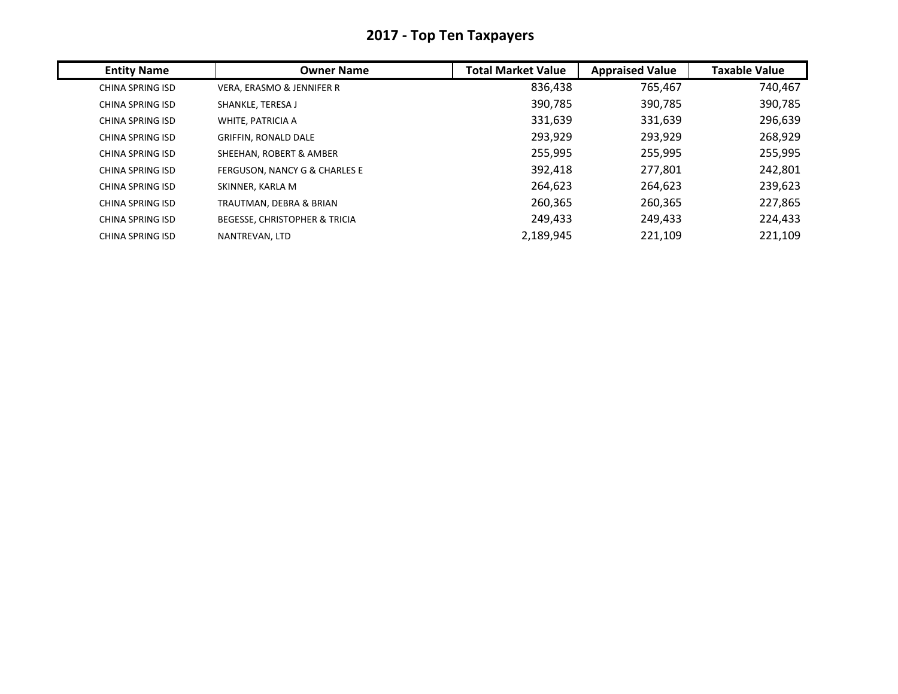| <b>Entity Name</b>      | <b>Owner Name</b>                        | <b>Total Market Value</b> | <b>Appraised Value</b> | <b>Taxable Value</b> |
|-------------------------|------------------------------------------|---------------------------|------------------------|----------------------|
| <b>CHINA SPRING ISD</b> | VERA, ERASMO & JENNIFER R                | 836,438                   | 765,467                | 740,467              |
| <b>CHINA SPRING ISD</b> | SHANKLE, TERESA J                        | 390,785                   | 390,785                | 390,785              |
| CHINA SPRING ISD        | WHITE, PATRICIA A                        | 331,639                   | 331,639                | 296,639              |
| CHINA SPRING ISD        | <b>GRIFFIN, RONALD DALE</b>              | 293,929                   | 293,929                | 268,929              |
| <b>CHINA SPRING ISD</b> | SHEEHAN, ROBERT & AMBER                  | 255,995                   | 255,995                | 255,995              |
| <b>CHINA SPRING ISD</b> | FERGUSON, NANCY G & CHARLES E            | 392,418                   | 277,801                | 242,801              |
| CHINA SPRING ISD        | SKINNER, KARLA M                         | 264,623                   | 264,623                | 239,623              |
| CHINA SPRING ISD        | TRAUTMAN, DEBRA & BRIAN                  | 260,365                   | 260,365                | 227,865              |
| CHINA SPRING ISD        | <b>BEGESSE, CHRISTOPHER &amp; TRICIA</b> | 249,433                   | 249,433                | 224,433              |
| CHINA SPRING ISD        | NANTREVAN, LTD                           | 2,189,945                 | 221,109                | 221,109              |